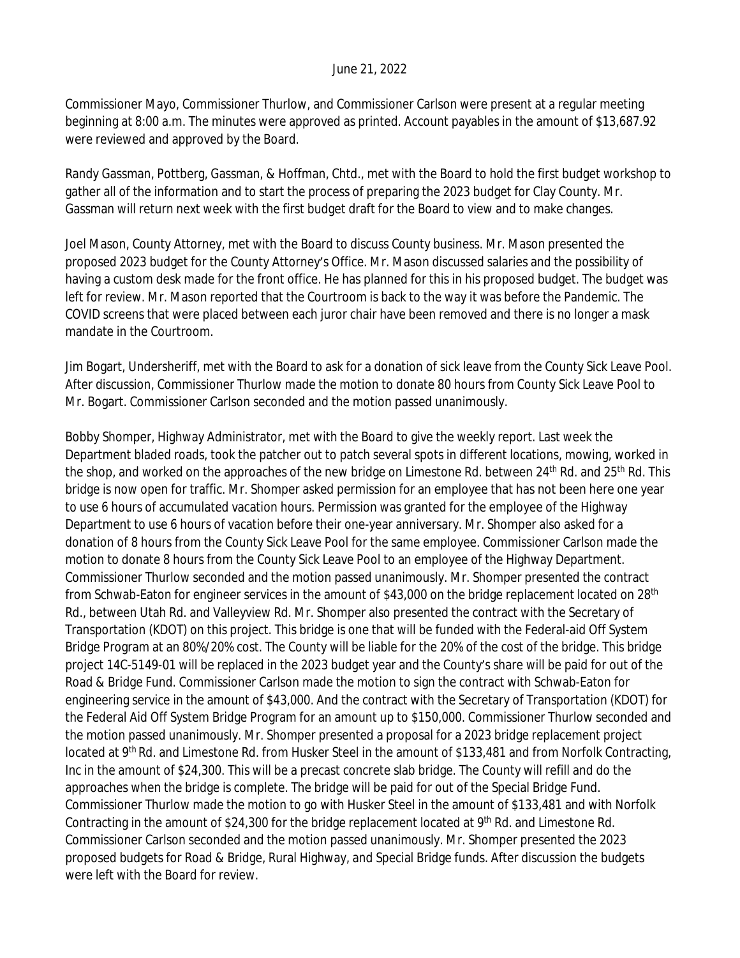## June 21, 2022

Commissioner Mayo, Commissioner Thurlow, and Commissioner Carlson were present at a regular meeting beginning at 8:00 a.m. The minutes were approved as printed. Account payables in the amount of \$13,687.92 were reviewed and approved by the Board.

Randy Gassman, Pottberg, Gassman, & Hoffman, Chtd., met with the Board to hold the first budget workshop to gather all of the information and to start the process of preparing the 2023 budget for Clay County. Mr. Gassman will return next week with the first budget draft for the Board to view and to make changes.

Joel Mason, County Attorney, met with the Board to discuss County business. Mr. Mason presented the proposed 2023 budget for the County Attorney's Office. Mr. Mason discussed salaries and the possibility of having a custom desk made for the front office. He has planned for this in his proposed budget. The budget was left for review. Mr. Mason reported that the Courtroom is back to the way it was before the Pandemic. The COVID screens that were placed between each juror chair have been removed and there is no longer a mask mandate in the Courtroom.

Jim Bogart, Undersheriff, met with the Board to ask for a donation of sick leave from the County Sick Leave Pool. After discussion, Commissioner Thurlow made the motion to donate 80 hours from County Sick Leave Pool to Mr. Bogart. Commissioner Carlson seconded and the motion passed unanimously.

Bobby Shomper, Highway Administrator, met with the Board to give the weekly report. Last week the Department bladed roads, took the patcher out to patch several spots in different locations, mowing, worked in the shop, and worked on the approaches of the new bridge on Limestone Rd. between 24<sup>th</sup> Rd. and 25<sup>th</sup> Rd. This bridge is now open for traffic. Mr. Shomper asked permission for an employee that has not been here one year to use 6 hours of accumulated vacation hours. Permission was granted for the employee of the Highway Department to use 6 hours of vacation before their one-year anniversary. Mr. Shomper also asked for a donation of 8 hours from the County Sick Leave Pool for the same employee. Commissioner Carlson made the motion to donate 8 hours from the County Sick Leave Pool to an employee of the Highway Department. Commissioner Thurlow seconded and the motion passed unanimously. Mr. Shomper presented the contract from Schwab-Eaton for engineer services in the amount of \$43,000 on the bridge replacement located on 28<sup>th</sup> Rd., between Utah Rd. and Valleyview Rd. Mr. Shomper also presented the contract with the Secretary of Transportation (KDOT) on this project. This bridge is one that will be funded with the Federal-aid Off System Bridge Program at an 80%/20% cost. The County will be liable for the 20% of the cost of the bridge. This bridge project 14C-5149-01 will be replaced in the 2023 budget year and the County's share will be paid for out of the Road & Bridge Fund. Commissioner Carlson made the motion to sign the contract with Schwab-Eaton for engineering service in the amount of \$43,000. And the contract with the Secretary of Transportation (KDOT) for the Federal Aid Off System Bridge Program for an amount up to \$150,000. Commissioner Thurlow seconded and the motion passed unanimously. Mr. Shomper presented a proposal for a 2023 bridge replacement project located at 9th Rd. and Limestone Rd. from Husker Steel in the amount of \$133,481 and from Norfolk Contracting, Inc in the amount of \$24,300. This will be a precast concrete slab bridge. The County will refill and do the approaches when the bridge is complete. The bridge will be paid for out of the Special Bridge Fund. Commissioner Thurlow made the motion to go with Husker Steel in the amount of \$133,481 and with Norfolk Contracting in the amount of \$24,300 for the bridge replacement located at 9<sup>th</sup> Rd. and Limestone Rd. Commissioner Carlson seconded and the motion passed unanimously. Mr. Shomper presented the 2023 proposed budgets for Road & Bridge, Rural Highway, and Special Bridge funds. After discussion the budgets were left with the Board for review.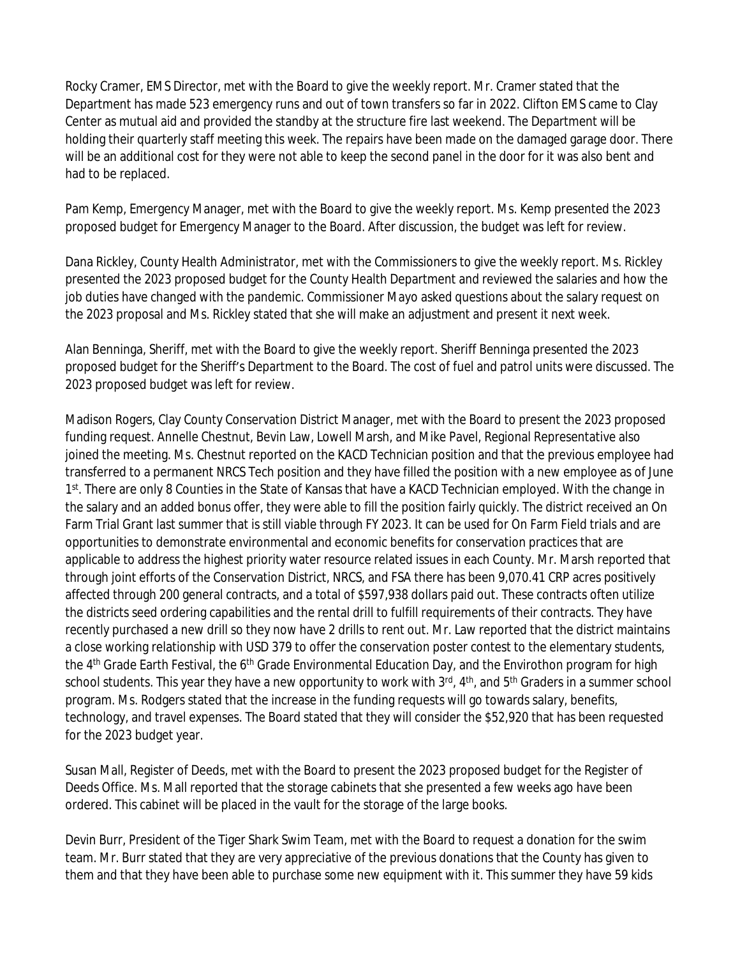Rocky Cramer, EMS Director, met with the Board to give the weekly report. Mr. Cramer stated that the Department has made 523 emergency runs and out of town transfers so far in 2022. Clifton EMS came to Clay Center as mutual aid and provided the standby at the structure fire last weekend. The Department will be holding their quarterly staff meeting this week. The repairs have been made on the damaged garage door. There will be an additional cost for they were not able to keep the second panel in the door for it was also bent and had to be replaced.

Pam Kemp, Emergency Manager, met with the Board to give the weekly report. Ms. Kemp presented the 2023 proposed budget for Emergency Manager to the Board. After discussion, the budget was left for review.

Dana Rickley, County Health Administrator, met with the Commissioners to give the weekly report. Ms. Rickley presented the 2023 proposed budget for the County Health Department and reviewed the salaries and how the job duties have changed with the pandemic. Commissioner Mayo asked questions about the salary request on the 2023 proposal and Ms. Rickley stated that she will make an adjustment and present it next week.

Alan Benninga, Sheriff, met with the Board to give the weekly report. Sheriff Benninga presented the 2023 proposed budget for the Sheriff's Department to the Board. The cost of fuel and patrol units were discussed. The 2023 proposed budget was left for review.

Madison Rogers, Clay County Conservation District Manager, met with the Board to present the 2023 proposed funding request. Annelle Chestnut, Bevin Law, Lowell Marsh, and Mike Pavel, Regional Representative also joined the meeting. Ms. Chestnut reported on the KACD Technician position and that the previous employee had transferred to a permanent NRCS Tech position and they have filled the position with a new employee as of June 1<sup>st</sup>. There are only 8 Counties in the State of Kansas that have a KACD Technician employed. With the change in the salary and an added bonus offer, they were able to fill the position fairly quickly. The district received an On Farm Trial Grant last summer that is still viable through FY 2023. It can be used for On Farm Field trials and are opportunities to demonstrate environmental and economic benefits for conservation practices that are applicable to address the highest priority water resource related issues in each County. Mr. Marsh reported that through joint efforts of the Conservation District, NRCS, and FSA there has been 9,070.41 CRP acres positively affected through 200 general contracts, and a total of \$597,938 dollars paid out. These contracts often utilize the districts seed ordering capabilities and the rental drill to fulfill requirements of their contracts. They have recently purchased a new drill so they now have 2 drills to rent out. Mr. Law reported that the district maintains a close working relationship with USD 379 to offer the conservation poster contest to the elementary students, the 4<sup>th</sup> Grade Earth Festival, the 6<sup>th</sup> Grade Environmental Education Day, and the Envirothon program for high school students. This year they have a new opportunity to work with 3<sup>rd</sup>, 4<sup>th</sup>, and 5<sup>th</sup> Graders in a summer school program. Ms. Rodgers stated that the increase in the funding requests will go towards salary, benefits, technology, and travel expenses. The Board stated that they will consider the \$52,920 that has been requested for the 2023 budget year.

Susan Mall, Register of Deeds, met with the Board to present the 2023 proposed budget for the Register of Deeds Office. Ms. Mall reported that the storage cabinets that she presented a few weeks ago have been ordered. This cabinet will be placed in the vault for the storage of the large books.

Devin Burr, President of the Tiger Shark Swim Team, met with the Board to request a donation for the swim team. Mr. Burr stated that they are very appreciative of the previous donations that the County has given to them and that they have been able to purchase some new equipment with it. This summer they have 59 kids